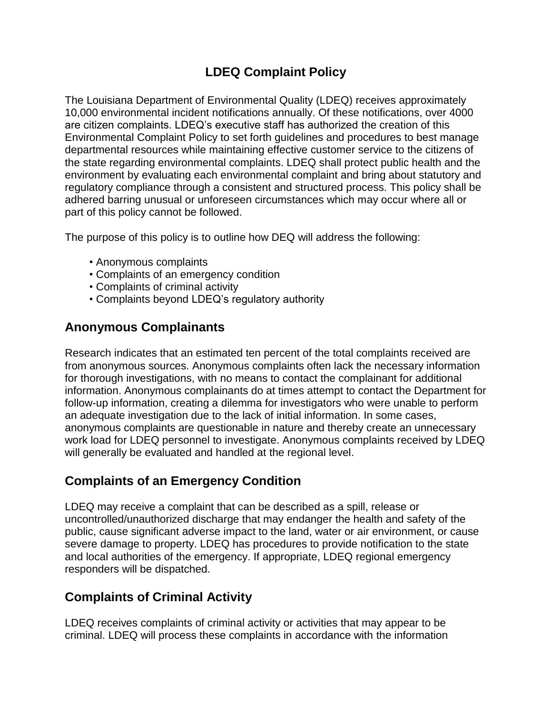# **LDEQ Complaint Policy**

The Louisiana Department of Environmental Quality (LDEQ) receives approximately 10,000 environmental incident notifications annually. Of these notifications, over 4000 are citizen complaints. LDEQ's executive staff has authorized the creation of this Environmental Complaint Policy to set forth guidelines and procedures to best manage departmental resources while maintaining effective customer service to the citizens of the state regarding environmental complaints. LDEQ shall protect public health and the environment by evaluating each environmental complaint and bring about statutory and regulatory compliance through a consistent and structured process. This policy shall be adhered barring unusual or unforeseen circumstances which may occur where all or part of this policy cannot be followed.

The purpose of this policy is to outline how DEQ will address the following:

- Anonymous complaints
- Complaints of an emergency condition
- Complaints of criminal activity
- Complaints beyond LDEQ's regulatory authority

## **Anonymous Complainants**

Research indicates that an estimated ten percent of the total complaints received are from anonymous sources. Anonymous complaints often lack the necessary information for thorough investigations, with no means to contact the complainant for additional information. Anonymous complainants do at times attempt to contact the Department for follow-up information, creating a dilemma for investigators who were unable to perform an adequate investigation due to the lack of initial information. In some cases, anonymous complaints are questionable in nature and thereby create an unnecessary work load for LDEQ personnel to investigate. Anonymous complaints received by LDEQ will generally be evaluated and handled at the regional level.

### **Complaints of an Emergency Condition**

LDEQ may receive a complaint that can be described as a spill, release or uncontrolled/unauthorized discharge that may endanger the health and safety of the public, cause significant adverse impact to the land, water or air environment, or cause severe damage to property. LDEQ has procedures to provide notification to the state and local authorities of the emergency. If appropriate, LDEQ regional emergency responders will be dispatched.

### **Complaints of Criminal Activity**

LDEQ receives complaints of criminal activity or activities that may appear to be criminal. LDEQ will process these complaints in accordance with the information